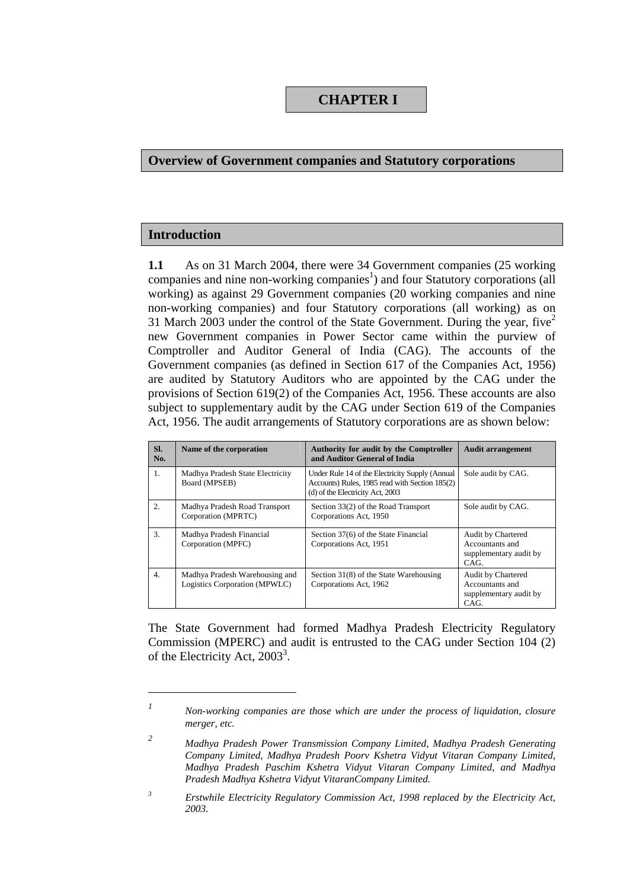## **CHAPTER I**

### **Overview of Government companies and Statutory corporations**

### **Introduction**

 $\overline{a}$ 

**1.1** As on 31 March 2004, there were 34 Government companies (25 working companies and nine non-working companies<sup>1</sup>) and four Statutory corporations (all working) as against 29 Government companies (20 working companies and nine non-working companies) and four Statutory corporations (all working) as on 31 March 2003 under the control of the State Government. During the year, five<sup>2</sup> new Government companies in Power Sector came within the purview of Comptroller and Auditor General of India (CAG). The accounts of the Government companies (as defined in Section 617 of the Companies Act, 1956) are audited by Statutory Auditors who are appointed by the CAG under the provisions of Section 619(2) of the Companies Act, 1956. These accounts are also subject to supplementary audit by the CAG under Section 619 of the Companies Act, 1956. The audit arrangements of Statutory corporations are as shown below:

| SI.<br>No.       | Name of the corporation                                         | <b>Authority for audit by the Comptroller</b><br>and Auditor General of India                                                         | <b>Audit arrangement</b>                                                |
|------------------|-----------------------------------------------------------------|---------------------------------------------------------------------------------------------------------------------------------------|-------------------------------------------------------------------------|
| $\mathbf{1}$ .   | Madhya Pradesh State Electricity<br>Board (MPSEB)               | Under Rule 14 of the Electricity Supply (Annual<br>Accounts) Rules, 1985 read with Section 185(2)<br>(d) of the Electricity Act, 2003 | Sole audit by CAG.                                                      |
| $\overline{2}$ . | Madhya Pradesh Road Transport<br>Corporation (MPRTC)            | Section 33(2) of the Road Transport<br>Corporations Act, 1950                                                                         | Sole audit by CAG.                                                      |
| 3.               | Madhya Pradesh Financial<br>Corporation (MPFC)                  | Section 37(6) of the State Financial<br>Corporations Act, 1951                                                                        | Audit by Chartered<br>Accountants and<br>supplementary audit by<br>CAG. |
| $\overline{4}$ . | Madhya Pradesh Warehousing and<br>Logistics Corporation (MPWLC) | Section 31(8) of the State Warehousing<br>Corporations Act, 1962                                                                      | Audit by Chartered<br>Accountants and<br>supplementary audit by<br>CAG. |

The State Government had formed Madhya Pradesh Electricity Regulatory Commission (MPERC) and audit is entrusted to the CAG under Section 104 (2) of the Electricity Act, 2003<sup>3</sup>.

*<sup>1</sup> Non-working companies are those which are under the process of liquidation, closure merger, etc.* 

*<sup>2</sup> Madhya Pradesh Power Transmission Company Limited, Madhya Pradesh Generating Company Limited, Madhya Pradesh Poorv Kshetra Vidyut Vitaran Company Limited, Madhya Pradesh Paschim Kshetra Vidyut Vitaran Company Limited, and Madhya Pradesh Madhya Kshetra Vidyut VitaranCompany Limited.* 

*<sup>3</sup> Erstwhile Electricity Regulatory Commission Act, 1998 replaced by the Electricity Act, 2003.*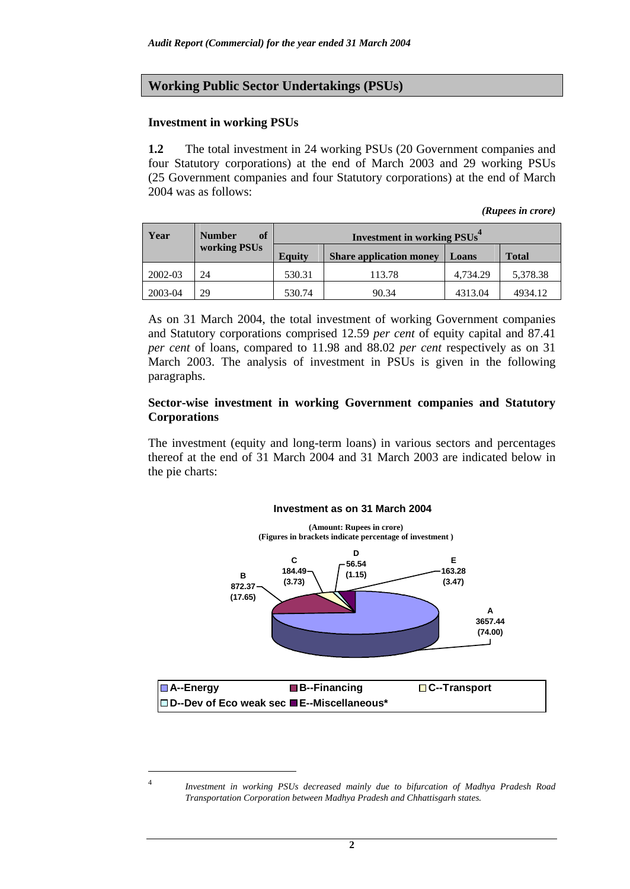## **Working Public Sector Undertakings (PSUs)**

### **Investment in working PSUs**

l

**1.2** The total investment in 24 working PSUs (20 Government companies and four Statutory corporations) at the end of March 2003 and 29 working PSUs (25 Government companies and four Statutory corporations) at the end of March 2004 was as follows:

*(Rupees in crore)* 

| Year    | <sup>of</sup><br><b>Number</b> |        | <b>Investment in working PSUs<sup>4</sup></b> |          |              |
|---------|--------------------------------|--------|-----------------------------------------------|----------|--------------|
|         | working PSUs                   | Equity | <b>Share application money</b>                | Loans    | <b>Total</b> |
| 2002-03 | 24                             | 530.31 | 113.78                                        | 4.734.29 | 5,378.38     |
| 2003-04 | 29                             | 530.74 | 90.34                                         | 4313.04  | 4934.12      |

As on 31 March 2004, the total investment of working Government companies and Statutory corporations comprised 12.59 *per cent* of equity capital and 87.41 *per cent* of loans, compared to 11.98 and 88.02 *per cent* respectively as on 31 March 2003. The analysis of investment in PSUs is given in the following paragraphs.

### **Sector-wise investment in working Government companies and Statutory Corporations**

The investment (equity and long-term loans) in various sectors and percentages thereof at the end of 31 March 2004 and 31 March 2003 are indicated below in the pie charts:



**2**

<sup>4</sup> *Investment in working PSUs decreased mainly due to bifurcation of Madhya Pradesh Road Transportation Corporation between Madhya Pradesh and Chhattisgarh states.*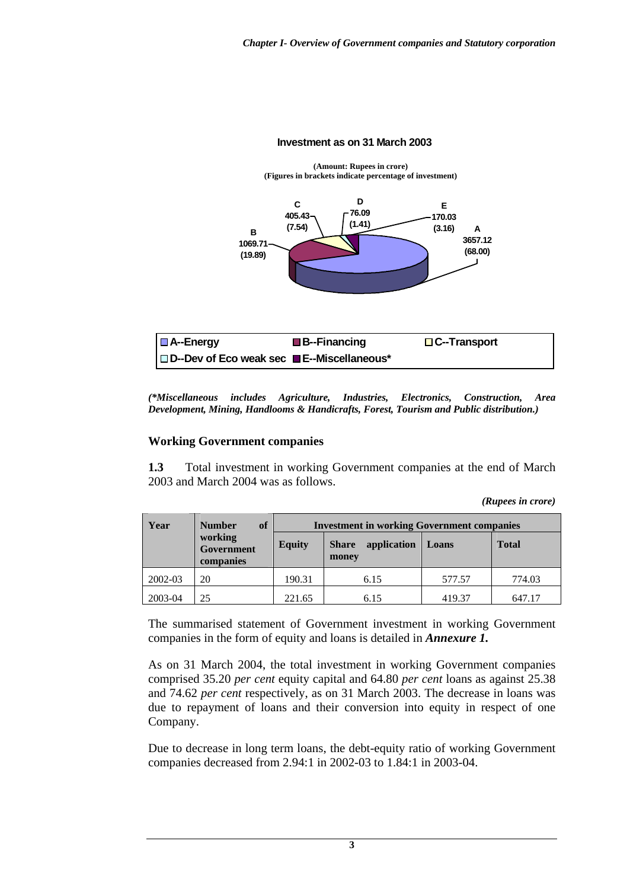#### **Investment as on 31 March 2003**



| $ \blacksquare$ A--Energy                                       | $\blacksquare$ B--Financing | $\Box$ C--Transport |
|-----------------------------------------------------------------|-----------------------------|---------------------|
| $ \Box$ D--Dev of Eco weak sec $\blacksquare$ E--Miscellaneous* |                             |                     |

*(\*Miscellaneous includes Agriculture, Industries, Electronics, Construction, Area Development, Mining, Handlooms & Handicrafts, Forest, Tourism and Public distribution.)*

### **Working Government companies**

**1.3** Total investment in working Government companies at the end of March 2003 and March 2004 was as follows.

*(Rupees in crore)* 

| Year    | of<br><b>Number</b>                |               | <b>Investment in working Government companies</b> |        |              |  |  |  |
|---------|------------------------------------|---------------|---------------------------------------------------|--------|--------------|--|--|--|
|         | working<br>Government<br>companies | <b>Equity</b> | application<br><b>Share</b><br>money              | Loans  | <b>Total</b> |  |  |  |
| 2002-03 | 20                                 | 190.31        | 6.15                                              | 577.57 | 774.03       |  |  |  |
| 2003-04 | 25                                 | 221.65        | 6.15                                              | 419.37 | 647.17       |  |  |  |

The summarised statement of Government investment in working Government companies in the form of equity and loans is detailed in *Annexure 1.*

As on 31 March 2004, the total investment in working Government companies comprised 35.20 *per cent* equity capital and 64.80 *per cent* loans as against 25.38 and 74.62 *per cent* respectively, as on 31 March 2003. The decrease in loans was due to repayment of loans and their conversion into equity in respect of one Company.

Due to decrease in long term loans, the debt-equity ratio of working Government companies decreased from 2.94:1 in 2002-03 to 1.84:1 in 2003-04.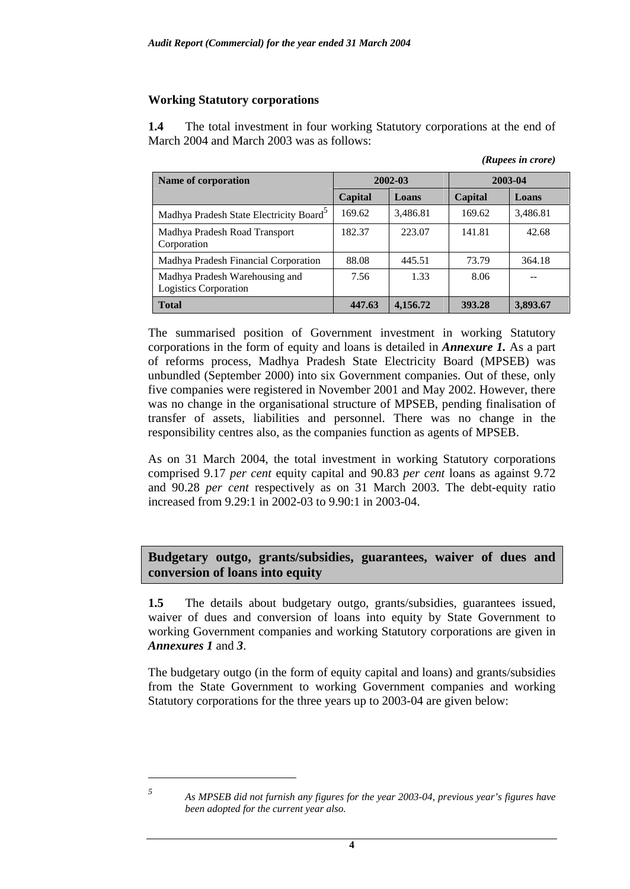## **Working Statutory corporations**

**1.4** The total investment in four working Statutory corporations at the end of March 2004 and March 2003 was as follows:

|                                                         |         |          |         | (Rupees in crore) |  |
|---------------------------------------------------------|---------|----------|---------|-------------------|--|
| Name of corporation                                     |         | 2002-03  | 2003-04 |                   |  |
|                                                         | Capital | Loans    | Capital | Loans             |  |
| Madhya Pradesh State Electricity Board <sup>5</sup>     | 169.62  | 3,486.81 | 169.62  | 3,486.81          |  |
| Madhya Pradesh Road Transport<br>Corporation            | 182.37  | 223.07   | 141.81  | 42.68             |  |
| Madhya Pradesh Financial Corporation                    | 88.08   | 445.51   | 73.79   | 364.18            |  |
| Madhya Pradesh Warehousing and<br>Logistics Corporation | 7.56    | 1.33     | 8.06    |                   |  |
| <b>Total</b>                                            | 447.63  | 4,156.72 | 393.28  | 3,893.67          |  |

The summarised position of Government investment in working Statutory corporations in the form of equity and loans is detailed in *Annexure 1.* As a part of reforms process, Madhya Pradesh State Electricity Board (MPSEB) was unbundled (September 2000) into six Government companies. Out of these, only five companies were registered in November 2001 and May 2002. However, there was no change in the organisational structure of MPSEB, pending finalisation of transfer of assets, liabilities and personnel. There was no change in the responsibility centres also, as the companies function as agents of MPSEB.

As on 31 March 2004, the total investment in working Statutory corporations comprised 9.17 *per cent* equity capital and 90.83 *per cent* loans as against 9.72 and 90.28 *per cent* respectively as on 31 March 2003. The debt-equity ratio increased from 9.29:1 in 2002-03 to 9.90:1 in 2003-04.

**Budgetary outgo, grants/subsidies, guarantees, waiver of dues and conversion of loans into equity** 

1.5 The details about budgetary outgo, grants/subsidies, guarantees issued, waiver of dues and conversion of loans into equity by State Government to working Government companies and working Statutory corporations are given in *Annexures 1* and *3*.

The budgetary outgo (in the form of equity capital and loans) and grants/subsidies from the State Government to working Government companies and working Statutory corporations for the three years up to 2003-04 are given below:

 $\overline{a}$ 

*<sup>5</sup> As MPSEB did not furnish any figures for the year 2003-04, previous year's figures have been adopted for the current year also.*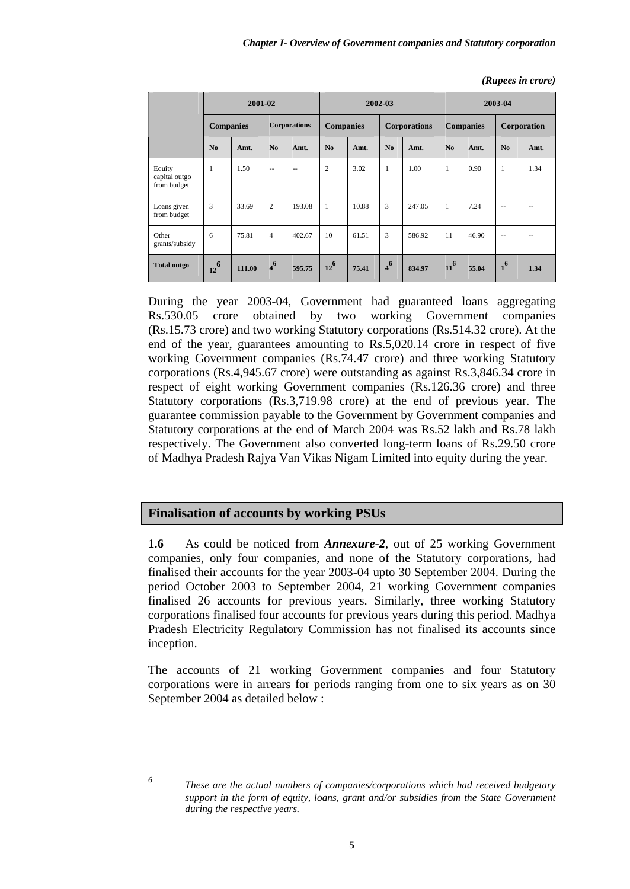*(Rupees in crore)* 

|                                        | 2001-02          |        |                     | 2002-03 |                  |       | 2003-04             |        |                  |       |                |               |
|----------------------------------------|------------------|--------|---------------------|---------|------------------|-------|---------------------|--------|------------------|-------|----------------|---------------|
|                                        | <b>Companies</b> |        | <b>Corporations</b> |         | <b>Companies</b> |       | <b>Corporations</b> |        | <b>Companies</b> |       | Corporation    |               |
|                                        | No               | Amt.   | N <sub>0</sub>      | Amt.    | N <sub>0</sub>   | Amt.  | No                  | Amt.   | No               | Amt.  | N <sub>0</sub> | Amt.          |
| Equity<br>capital outgo<br>from budget | $\mathbf{1}$     | 1.50   | $-$                 | $-$     | $\overline{c}$   | 3.02  | $\mathbf{1}$        | 1.00   | $\mathbf{1}$     | 0.90  | $\mathbf{1}$   | 1.34          |
| Loans given<br>from budget             | 3                | 33.69  | $\overline{2}$      | 193.08  | $\mathbf{1}$     | 10.88 | 3                   | 247.05 | $\mathbf{1}$     | 7.24  | $\frac{1}{2}$  | $- -$         |
| Other<br>grants/subsidy                | 6                | 75.81  | $\overline{4}$      | 402.67  | 10               | 61.51 | 3                   | 586.92 | 11               | 46.90 | $- -$          | $\frac{1}{2}$ |
| <b>Total outgo</b>                     | $12^{6}$         | 111.00 | 4 <sup>6</sup>      | 595.75  | $12^{6}$         | 75.41 | 4 <sup>6</sup>      | 834.97 | $11^{6}$         | 55.04 | 1 <sup>6</sup> | 1.34          |

During the year 2003-04, Government had guaranteed loans aggregating Rs.530.05 crore obtained by two working Government companies (Rs.15.73 crore) and two working Statutory corporations (Rs.514.32 crore). At the end of the year, guarantees amounting to Rs.5,020.14 crore in respect of five working Government companies (Rs.74.47 crore) and three working Statutory corporations (Rs.4,945.67 crore) were outstanding as against Rs.3,846.34 crore in respect of eight working Government companies (Rs.126.36 crore) and three Statutory corporations (Rs.3,719.98 crore) at the end of previous year. The guarantee commission payable to the Government by Government companies and Statutory corporations at the end of March 2004 was Rs.52 lakh and Rs.78 lakh respectively. The Government also converted long-term loans of Rs.29.50 crore of Madhya Pradesh Rajya Van Vikas Nigam Limited into equity during the year.

## **Finalisation of accounts by working PSUs**

**1.6** As could be noticed from *Annexure-2*, out of 25 working Government companies, only four companies, and none of the Statutory corporations, had finalised their accounts for the year 2003-04 upto 30 September 2004. During the period October 2003 to September 2004, 21 working Government companies finalised 26 accounts for previous years. Similarly, three working Statutory corporations finalised four accounts for previous years during this period. Madhya Pradesh Electricity Regulatory Commission has not finalised its accounts since inception.

The accounts of 21 working Government companies and four Statutory corporations were in arrears for periods ranging from one to six years as on 30 September 2004 as detailed below :

 $\overline{a}$ 

*<sup>6</sup> These are the actual numbers of companies/corporations which had received budgetary support in the form of equity, loans, grant and/or subsidies from the State Government during the respective years.*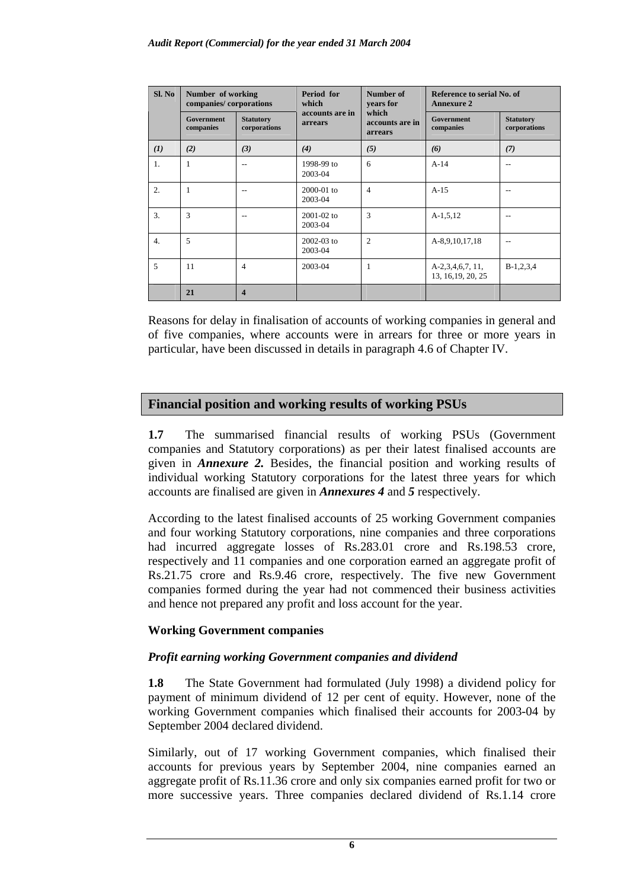| Sl. No           | Number of working<br>companies/corporations |                                  | Period for<br>which        | Number of<br>years for              | Reference to serial No. of<br><b>Annexure 2</b> |                                  |  |
|------------------|---------------------------------------------|----------------------------------|----------------------------|-------------------------------------|-------------------------------------------------|----------------------------------|--|
|                  | Government<br>companies                     | <b>Statutory</b><br>corporations | accounts are in<br>arrears | which<br>accounts are in<br>arrears | <b>Government</b><br>companies                  | <b>Statutory</b><br>corporations |  |
| (I)              | (2)                                         | (3)                              | (4)                        | (5)                                 | (6)                                             | (7)                              |  |
| 1.               | 1                                           |                                  | 1998-99 to<br>2003-04      | 6                                   | $A-14$                                          |                                  |  |
| 2.               | 1                                           |                                  | $2000-01$ to<br>2003-04    | $\overline{4}$                      | $A-15$                                          |                                  |  |
| 3.               | 3                                           |                                  | $2001 - 02$ to<br>2003-04  | 3                                   | $A-1, 5, 12$                                    |                                  |  |
| $\overline{4}$ . | 5                                           |                                  | $2002 - 03$ to<br>2003-04  | $\overline{2}$                      | A-8,9,10,17,18                                  | --                               |  |
| 5                | 11                                          | $\overline{4}$                   | 2003-04                    | 1                                   | $A-2,3,4,6,7,11,$<br>13, 16, 19, 20, 25         | $B-1,2,3,4$                      |  |
|                  | 21                                          | $\boldsymbol{4}$                 |                            |                                     |                                                 |                                  |  |

Reasons for delay in finalisation of accounts of working companies in general and of five companies, where accounts were in arrears for three or more years in particular, have been discussed in details in paragraph 4.6 of Chapter IV.

## **Financial position and working results of working PSUs**

**1.7** The summarised financial results of working PSUs (Government companies and Statutory corporations) as per their latest finalised accounts are given in *Annexure 2.* Besides, the financial position and working results of individual working Statutory corporations for the latest three years for which accounts are finalised are given in *Annexures 4* and *5* respectively.

According to the latest finalised accounts of 25 working Government companies and four working Statutory corporations, nine companies and three corporations had incurred aggregate losses of Rs.283.01 crore and Rs.198.53 crore, respectively and 11 companies and one corporation earned an aggregate profit of Rs.21.75 crore and Rs.9.46 crore, respectively. The five new Government companies formed during the year had not commenced their business activities and hence not prepared any profit and loss account for the year.

### **Working Government companies**

### *Profit earning working Government companies and dividend*

**1.8** The State Government had formulated (July 1998) a dividend policy for payment of minimum dividend of 12 per cent of equity. However, none of the working Government companies which finalised their accounts for 2003-04 by September 2004 declared dividend.

Similarly, out of 17 working Government companies, which finalised their accounts for previous years by September 2004, nine companies earned an aggregate profit of Rs.11.36 crore and only six companies earned profit for two or more successive years. Three companies declared dividend of Rs.1.14 crore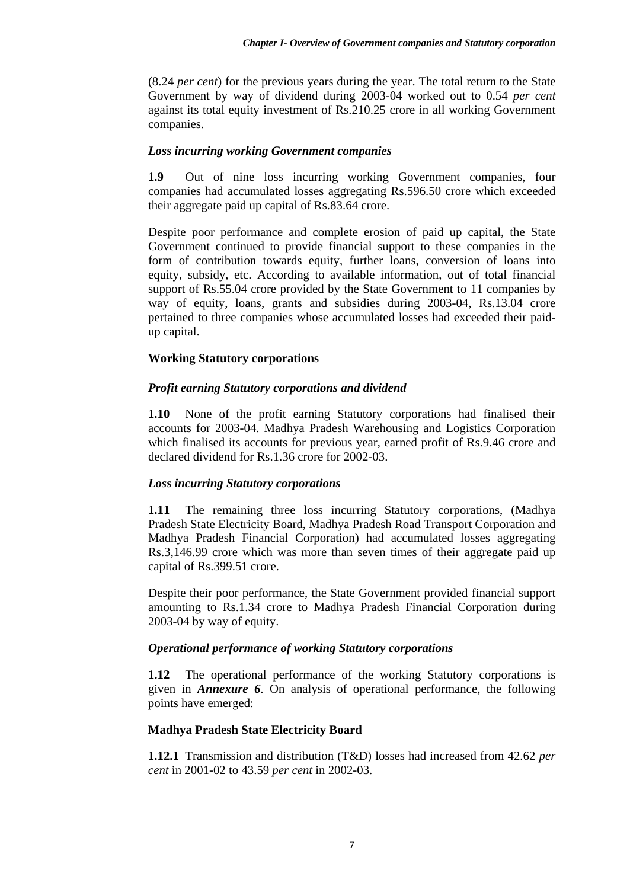(8.24 *per cent*) for the previous years during the year. The total return to the State Government by way of dividend during 2003-04 worked out to 0.54 *per cent* against its total equity investment of Rs.210.25 crore in all working Government companies.

## *Loss incurring working Government companies*

**1.9** Out of nine loss incurring working Government companies, four companies had accumulated losses aggregating Rs.596.50 crore which exceeded their aggregate paid up capital of Rs.83.64 crore.

Despite poor performance and complete erosion of paid up capital, the State Government continued to provide financial support to these companies in the form of contribution towards equity, further loans, conversion of loans into equity, subsidy, etc. According to available information, out of total financial support of Rs.55.04 crore provided by the State Government to 11 companies by way of equity, loans, grants and subsidies during 2003-04, Rs.13.04 crore pertained to three companies whose accumulated losses had exceeded their paidup capital.

## **Working Statutory corporations**

# *Profit earning Statutory corporations and dividend*

**1.10** None of the profit earning Statutory corporations had finalised their accounts for 2003-04. Madhya Pradesh Warehousing and Logistics Corporation which finalised its accounts for previous year, earned profit of Rs.9.46 crore and declared dividend for Rs.1.36 crore for 2002-03.

## *Loss incurring Statutory corporations*

**1.11** The remaining three loss incurring Statutory corporations, (Madhya Pradesh State Electricity Board, Madhya Pradesh Road Transport Corporation and Madhya Pradesh Financial Corporation) had accumulated losses aggregating Rs.3,146.99 crore which was more than seven times of their aggregate paid up capital of Rs.399.51 crore.

Despite their poor performance, the State Government provided financial support amounting to Rs.1.34 crore to Madhya Pradesh Financial Corporation during 2003-04 by way of equity.

## *Operational performance of working Statutory corporations*

**1.12** The operational performance of the working Statutory corporations is given in *Annexure 6*. On analysis of operational performance, the following points have emerged:

## **Madhya Pradesh State Electricity Board**

**1.12.1** Transmission and distribution (T&D) losses had increased from 42.62 *per cent* in 2001-02 to 43.59 *per cent* in 2002-03.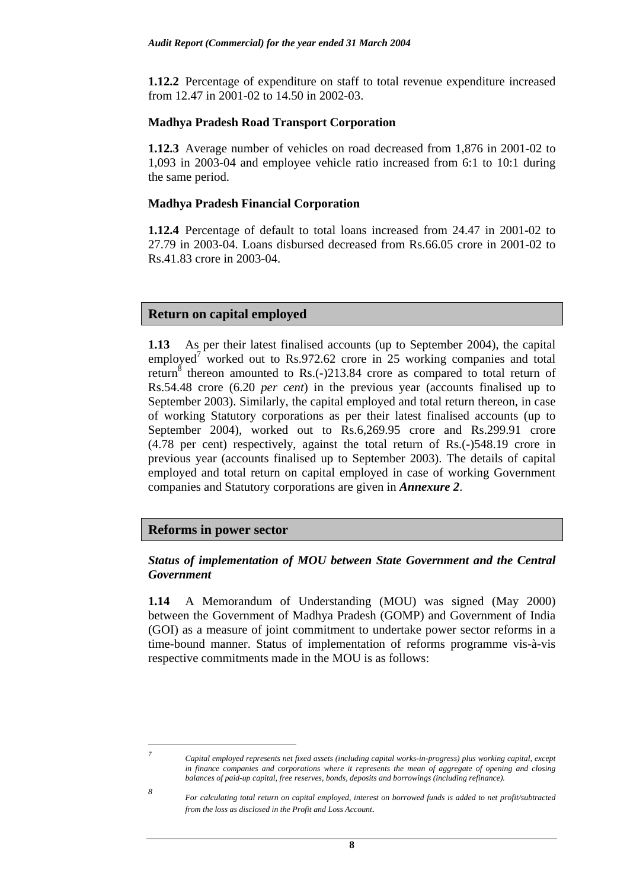**1.12.2** Percentage of expenditure on staff to total revenue expenditure increased from 12.47 in 2001-02 to 14.50 in 2002-03.

### **Madhya Pradesh Road Transport Corporation**

**1.12.3** Average number of vehicles on road decreased from 1,876 in 2001-02 to 1,093 in 2003-04 and employee vehicle ratio increased from 6:1 to 10:1 during the same period.

### **Madhya Pradesh Financial Corporation**

**1.12.4** Percentage of default to total loans increased from 24.47 in 2001-02 to 27.79 in 2003-04. Loans disbursed decreased from Rs.66.05 crore in 2001-02 to Rs.41.83 crore in 2003-04.

### **Return on capital employed**

**1.13** As per their latest finalised accounts (up to September 2004), the capital employed<sup>7</sup> worked out to Rs.972.62 crore in 25 working companies and total return<sup>8</sup> thereon amounted to Rs.(-)213.84 crore as compared to total return of Rs.54.48 crore (6.20 *per cent*) in the previous year (accounts finalised up to September 2003). Similarly, the capital employed and total return thereon, in case of working Statutory corporations as per their latest finalised accounts (up to September 2004), worked out to Rs.6,269.95 crore and Rs.299.91 crore (4.78 per cent) respectively, against the total return of Rs.(-)548.19 crore in previous year (accounts finalised up to September 2003). The details of capital employed and total return on capital employed in case of working Government companies and Statutory corporations are given in *Annexure 2*.

### **Reforms in power sector**

### *Status of implementation of MOU between State Government and the Central Government*

**1.14** A Memorandum of Understanding (MOU) was signed (May 2000) between the Government of Madhya Pradesh (GOMP) and Government of India (GOI) as a measure of joint commitment to undertake power sector reforms in a time-bound manner. Status of implementation of reforms programme vis-à-vis respective commitments made in the MOU is as follows:

# $\overline{a}$

*8*

*<sup>7</sup> Capital employed represents net fixed assets (including capital works-in-progress) plus working capital, except in finance companies and corporations where it represents the mean of aggregate of opening and closing balances of paid-up capital, free reserves, bonds, deposits and borrowings (including refinance).*

*For calculating total return on capital employed, interest on borrowed funds is added to net profit/subtracted from the loss as disclosed in the Profit and Loss Account.*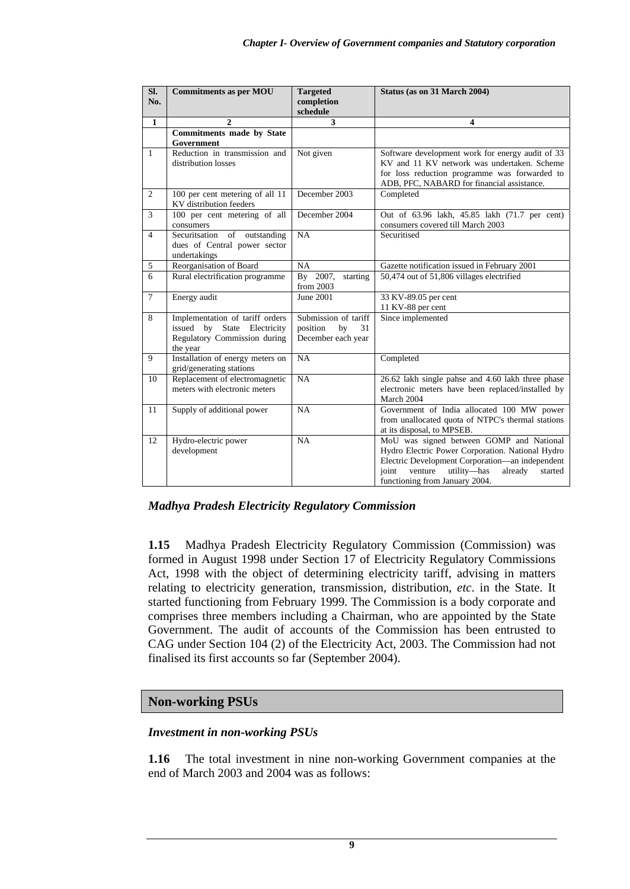| Sl.            | <b>Commitments as per MOU</b>                                                                              | <b>Targeted</b>                                                    | Status (as on 31 March 2004)                                                                                                                                                                                                               |
|----------------|------------------------------------------------------------------------------------------------------------|--------------------------------------------------------------------|--------------------------------------------------------------------------------------------------------------------------------------------------------------------------------------------------------------------------------------------|
| No.            |                                                                                                            | completion<br>schedule                                             |                                                                                                                                                                                                                                            |
| $\mathbf{1}$   | $\mathbf{2}$                                                                                               | 3                                                                  | 4                                                                                                                                                                                                                                          |
|                | Commitments made by State                                                                                  |                                                                    |                                                                                                                                                                                                                                            |
|                | Government                                                                                                 |                                                                    |                                                                                                                                                                                                                                            |
| 1              | Reduction in transmission and<br>distribution losses                                                       | Not given                                                          | Software development work for energy audit of 33<br>KV and 11 KV network was undertaken. Scheme<br>for loss reduction programme was forwarded to<br>ADB, PFC, NABARD for financial assistance.                                             |
| 2              | 100 per cent metering of all 11<br>KV distribution feeders                                                 | December 2003                                                      | Completed                                                                                                                                                                                                                                  |
| $\overline{3}$ | 100 per cent metering of all<br>consumers                                                                  | December 2004                                                      | Out of 63.96 lakh, 45.85 lakh (71.7 per cent)<br>consumers covered till March 2003                                                                                                                                                         |
| $\overline{4}$ | Securitsation<br>of outstanding<br>dues of Central power sector<br>undertakings                            | <b>NA</b>                                                          | Securitised                                                                                                                                                                                                                                |
| 5              | Reorganisation of Board                                                                                    | NA                                                                 | Gazette notification issued in February 2001                                                                                                                                                                                               |
| 6              | Rural electrification programme                                                                            | By 2007,<br>starting<br>from 2003                                  | 50,474 out of 51,806 villages electrified                                                                                                                                                                                                  |
| $\overline{7}$ | Energy audit                                                                                               | June 2001                                                          | 33 KV-89.05 per cent<br>11 KV-88 per cent                                                                                                                                                                                                  |
| 8              | Implementation of tariff orders<br>issued by State Electricity<br>Regulatory Commission during<br>the year | Submission of tariff<br>position<br>by<br>31<br>December each year | Since implemented                                                                                                                                                                                                                          |
| 9              | Installation of energy meters on<br>grid/generating stations                                               | <b>NA</b>                                                          | Completed                                                                                                                                                                                                                                  |
| 10             | Replacement of electromagnetic<br>meters with electronic meters                                            | NA                                                                 | 26.62 lakh single pahse and 4.60 lakh three phase<br>electronic meters have been replaced/installed by<br>March 2004                                                                                                                       |
| 11             | Supply of additional power                                                                                 | NA                                                                 | Government of India allocated 100 MW power<br>from unallocated quota of NTPC's thermal stations<br>at its disposal, to MPSEB.                                                                                                              |
| 12             | Hydro-electric power<br>development                                                                        | NA                                                                 | MoU was signed between GOMP and National<br>Hydro Electric Power Corporation. National Hydro<br>Electric Development Corporation-an independent<br>joint<br>venture<br>utility-has<br>already<br>started<br>functioning from January 2004. |

*Madhya Pradesh Electricity Regulatory Commission*

**1.15** Madhya Pradesh Electricity Regulatory Commission (Commission) was formed in August 1998 under Section 17 of Electricity Regulatory Commissions Act, 1998 with the object of determining electricity tariff, advising in matters relating to electricity generation, transmission, distribution, *etc*. in the State. It started functioning from February 1999. The Commission is a body corporate and comprises three members including a Chairman, who are appointed by the State Government. The audit of accounts of the Commission has been entrusted to CAG under Section 104 (2) of the Electricity Act, 2003. The Commission had not finalised its first accounts so far (September 2004).

## **Non-working PSUs**

### *Investment in non-working PSUs*

**1.16** The total investment in nine non-working Government companies at the end of March 2003 and 2004 was as follows: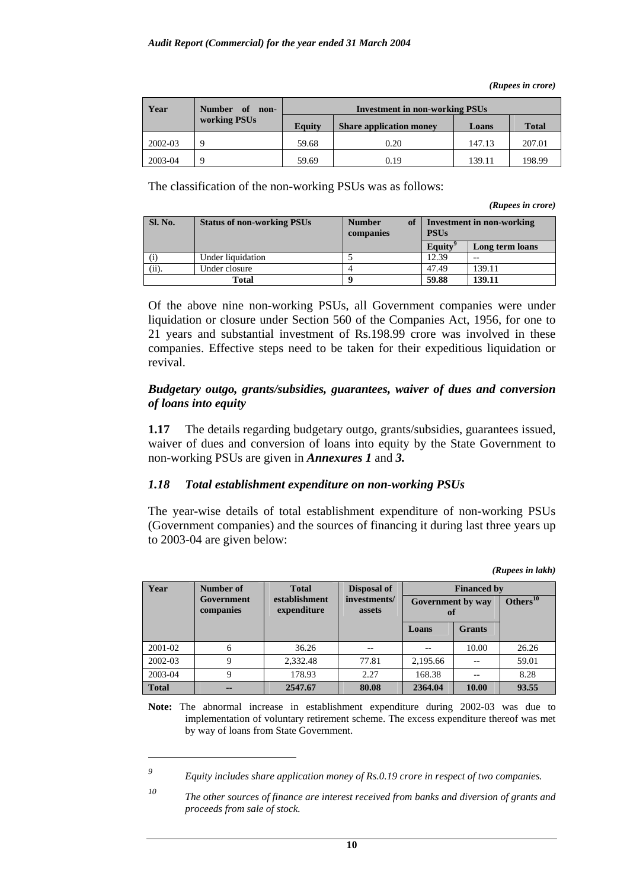*(Rupees in crore)* 

| Year    | Number of<br>non-   | <b>Investment in non-working PSUs</b> |                                |        |              |  |
|---------|---------------------|---------------------------------------|--------------------------------|--------|--------------|--|
|         | <b>working PSUs</b> | <b>Equity</b>                         | <b>Share application money</b> | Loans  | <b>Total</b> |  |
| 2002-03 | Q                   | 59.68                                 | 0.20                           | 147.13 | 207.01       |  |
| 2003-04 | Q                   | 59.69                                 | 0.19                           | 139.11 | 198.99       |  |

The classification of the non-working PSUs was as follows:

*(Rupees in crore)* 

| Sl. No. | <b>Status of non-working PSUs</b> | of<br><b>Number</b><br>companies | Investment in non-working<br><b>PSUs</b> |                 |  |
|---------|-----------------------------------|----------------------------------|------------------------------------------|-----------------|--|
|         |                                   |                                  | Equity                                   | Long term loans |  |
|         | Under liquidation                 |                                  | 12.39                                    |                 |  |
| $(i)$ . | Under closure                     |                                  | 47.49                                    | 139.11          |  |
|         | Total                             |                                  | 59.88                                    | 139.11          |  |

Of the above nine non-working PSUs, all Government companies were under liquidation or closure under Section 560 of the Companies Act, 1956, for one to 21 years and substantial investment of Rs.198.99 crore was involved in these companies. Effective steps need to be taken for their expeditious liquidation or revival.

### *Budgetary outgo, grants/subsidies, guarantees, waiver of dues and conversion of loans into equity*

**1.17** The details regarding budgetary outgo, grants/subsidies, guarantees issued, waiver of dues and conversion of loans into equity by the State Government to non-working PSUs are given in *Annexures 1* and *3.* 

### *1.18 Total establishment expenditure on non-working PSUs*

The year-wise details of total establishment expenditure of non-working PSUs (Government companies) and the sources of financing it during last three years up to 2003-04 are given below:

 *(Rupees in lakh)* 

| Year         | Number of               | <b>Total</b>                 | Disposal of            | <b>Financed by</b>      |               |                |  |
|--------------|-------------------------|------------------------------|------------------------|-------------------------|---------------|----------------|--|
|              | Government<br>companies | establishment<br>expenditure | investments/<br>assets | Government by way<br>of |               | Others $^{10}$ |  |
|              |                         |                              |                        | Loans                   | <b>Grants</b> |                |  |
| 2001-02      | 6                       | 36.26                        |                        |                         | 10.00         | 26.26          |  |
| 2002-03      | 9                       | 2,332.48                     | 77.81                  | 2,195.66                |               | 59.01          |  |
| 2003-04      | 9                       | 178.93                       | 2.27                   | 168.38                  |               | 8.28           |  |
| <b>Total</b> | --                      | 2547.67                      | 80.08                  | 2364.04                 | 10.00         | 93.55          |  |

**Note:** The abnormal increase in establishment expenditure during 2002-03 was due to implementation of voluntary retirement scheme. The excess expenditure thereof was met by way of loans from State Government.

 $\overline{a}$ 

*<sup>9</sup> Equity includes share application money of Rs.0.19 crore in respect of two companies.* 

*<sup>10</sup> The other sources of finance are interest received from banks and diversion of grants and proceeds from sale of stock.*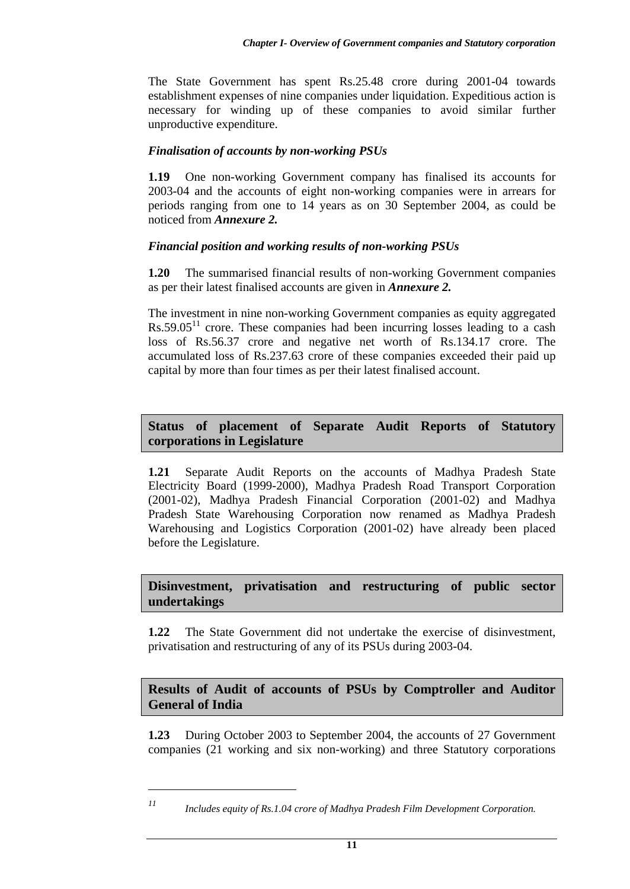The State Government has spent Rs.25.48 crore during 2001-04 towards establishment expenses of nine companies under liquidation. Expeditious action is necessary for winding up of these companies to avoid similar further unproductive expenditure.

### *Finalisation of accounts by non-working PSUs*

**1.19** One non-working Government company has finalised its accounts for 2003-04 and the accounts of eight non-working companies were in arrears for periods ranging from one to 14 years as on 30 September 2004, as could be noticed from *Annexure 2.* 

## *Financial position and working results of non-working PSUs*

**1.20** The summarised financial results of non-working Government companies as per their latest finalised accounts are given in *Annexure 2.*

The investment in nine non-working Government companies as equity aggregated  $Rs.59.05<sup>11</sup>$  crore. These companies had been incurring losses leading to a cash loss of Rs.56.37 crore and negative net worth of Rs.134.17 crore. The accumulated loss of Rs.237.63 crore of these companies exceeded their paid up capital by more than four times as per their latest finalised account.

## **Status of placement of Separate Audit Reports of Statutory corporations in Legislature**

**1.21** Separate Audit Reports on the accounts of Madhya Pradesh State Electricity Board (1999-2000), Madhya Pradesh Road Transport Corporation (2001-02), Madhya Pradesh Financial Corporation (2001-02) and Madhya Pradesh State Warehousing Corporation now renamed as Madhya Pradesh Warehousing and Logistics Corporation (2001-02) have already been placed before the Legislature.

## **Disinvestment, privatisation and restructuring of public sector undertakings**

**1.22** The State Government did not undertake the exercise of disinvestment, privatisation and restructuring of any of its PSUs during 2003-04.

## **Results of Audit of accounts of PSUs by Comptroller and Auditor General of India**

**1.23** During October 2003 to September 2004, the accounts of 27 Government companies (21 working and six non-working) and three Statutory corporations

 $\overline{a}$ 

*<sup>11</sup> Includes equity of Rs.1.04 crore of Madhya Pradesh Film Development Corporation.*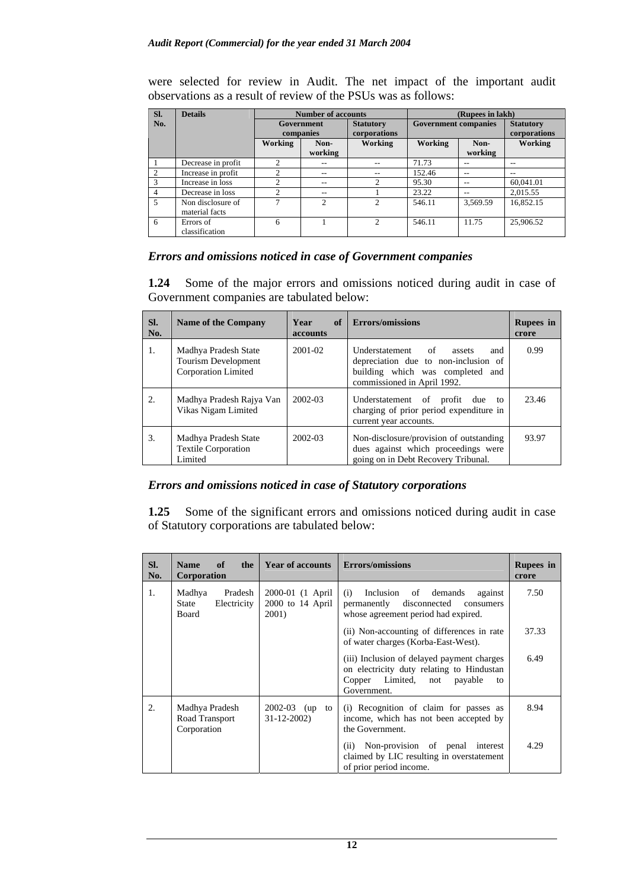were selected for review in Audit. The net impact of the important audit observations as a result of review of the PSUs was as follows:

| SI. | <b>Details</b>                      |                               | <b>Number of accounts</b>   |                                  | (Rupees in lakh)            |                 |                                  |  |
|-----|-------------------------------------|-------------------------------|-----------------------------|----------------------------------|-----------------------------|-----------------|----------------------------------|--|
| No. |                                     | Government<br>companies       |                             | <b>Statutory</b><br>corporations | <b>Government companies</b> |                 | <b>Statutory</b><br>corporations |  |
|     |                                     | Working                       | Non-<br>working             | Working                          | Working                     | Non-<br>working | Working                          |  |
|     | Decrease in profit                  | $\mathcal{D}$                 |                             |                                  | 71.73                       | --              | --                               |  |
|     | Increase in profit                  | $\mathfrak{D}_{\mathfrak{p}}$ | --                          | --                               | 152.46                      | --              | --                               |  |
| 3   | Increase in loss                    | ↑                             | $- -$                       |                                  | 95.30                       | --              | 60.041.01                        |  |
| 4   | Decrease in loss                    | $\mathfrak{D}$                | $- -$                       |                                  | 23.22                       | --              | 2,015.55                         |  |
| 5   | Non disclosure of<br>material facts | $\mathcal{L}$                 | $\mathcal{D}_{\mathcal{L}}$ | $\mathfrak{D}$                   | 546.11                      | 3,569.59        | 16,852.15                        |  |
| 6   | Errors of<br>classification         | 6                             |                             | 2                                | 546.11                      | 11.75           | 25,906.52                        |  |

### *Errors and omissions noticed in case of Government companies*

**1.24** Some of the major errors and omissions noticed during audit in case of Government companies are tabulated below:

| SI.<br>No. | <b>Name of the Company</b>                                         | of<br>Year<br><b>accounts</b> | Errors/omissions                                                                                                                                         | <b>Rupees</b> in<br>crore |
|------------|--------------------------------------------------------------------|-------------------------------|----------------------------------------------------------------------------------------------------------------------------------------------------------|---------------------------|
| 1.         | Madhya Pradesh State<br>Tourism Development<br>Corporation Limited | 2001-02                       | Understatement<br>$\circ$ of<br>assets<br>and<br>depreciation due to non-inclusion of<br>building which was completed and<br>commissioned in April 1992. | 0.99                      |
| 2.         | Madhya Pradesh Rajya Van<br>Vikas Nigam Limited                    | $2002 - 03$                   | Understatement of<br>profit<br>due to<br>charging of prior period expenditure in<br>current year accounts.                                               | 23.46                     |
| 3.         | Madhya Pradesh State<br><b>Textile Corporation</b><br>Limited      | 2002-03                       | Non-disclosure/provision of outstanding<br>dues against which proceedings were<br>going on in Debt Recovery Tribunal.                                    | 93.97                     |

### *Errors and omissions noticed in case of Statutory corporations*

**1.25** Some of the significant errors and omissions noticed during audit in case of Statutory corporations are tabulated below:

| SI.<br>No. | <b>Name</b><br>of<br>the<br>Corporation                                               | <b>Year of accounts</b> Errors/omissions        |                                                                                                                                                | <b>Rupees</b> in<br>crore |
|------------|---------------------------------------------------------------------------------------|-------------------------------------------------|------------------------------------------------------------------------------------------------------------------------------------------------|---------------------------|
| 1.         | Pradesh<br>Madhya<br>Electricity<br>State<br>Board                                    | 2000-01 (1 April<br>$2000$ to 14 April<br>2001) | Inclusion of demands<br>(i)<br>against<br>permanently<br>disconnected<br>consumers<br>whose agreement period had expired.                      | 7.50                      |
|            |                                                                                       |                                                 | (ii) Non-accounting of differences in rate<br>of water charges (Korba-East-West).                                                              | 37.33                     |
|            |                                                                                       |                                                 | (iii) Inclusion of delayed payment charges<br>on electricity duty relating to Hindustan<br>Copper Limited, not<br>payable<br>to<br>Government. | 6.49                      |
| 2.         | Madhya Pradesh<br>2002-03 (up to<br>$31 - 12 - 2002$<br>Road Transport<br>Corporation |                                                 | (i) Recognition of claim for passes as<br>income, which has not been accepted by<br>the Government.                                            | 8.94                      |
|            |                                                                                       |                                                 | Non-provision of penal interest<br>(ii)<br>claimed by LIC resulting in overstatement<br>of prior period income.                                | 4.29                      |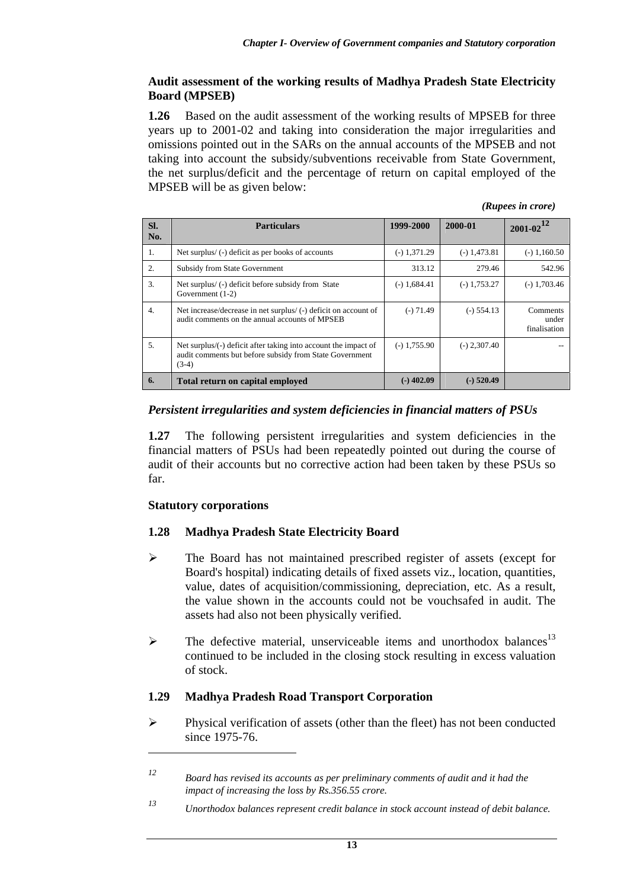### **Audit assessment of the working results of Madhya Pradesh State Electricity Board (MPSEB)**

**1.26** Based on the audit assessment of the working results of MPSEB for three years up to 2001-02 and taking into consideration the major irregularities and omissions pointed out in the SARs on the annual accounts of the MPSEB and not taking into account the subsidy/subventions receivable from State Government, the net surplus/deficit and the percentage of return on capital employed of the MPSEB will be as given below:

*(Rupees in crore)* 

| SI.<br>No.       | <b>Particulars</b>                                                                                                                    | 1999-2000      | 2000-01        | $2001 - 02^{12}$                  |
|------------------|---------------------------------------------------------------------------------------------------------------------------------------|----------------|----------------|-----------------------------------|
| 1.               | Net surplus/ (-) deficit as per books of accounts                                                                                     | $(-) 1,371.29$ | $(-) 1,473.81$ | $(-) 1,160.50$                    |
| 2.               | <b>Subsidy from State Government</b>                                                                                                  | 313.12         | 279.46         | 542.96                            |
| 3.               | Net surplus/(-) deficit before subsidy from State<br>Government (1-2)                                                                 | $(-) 1,684.41$ | $(-) 1,753.27$ | $(-) 1,703.46$                    |
| $\overline{4}$ . | Net increase/decrease in net surplus/ (-) deficit on account of<br>audit comments on the annual accounts of MPSEB                     | $(-) 71.49$    | $(-) 554.13$   | Comments<br>under<br>finalisation |
| 5.               | Net surplus/(-) deficit after taking into account the impact of<br>audit comments but before subsidy from State Government<br>$(3-4)$ | $(-)$ 1,755.90 | $(-) 2,307.40$ |                                   |
| 6.               | Total return on capital employed                                                                                                      | $(-)$ 402.09   | $(-)$ 520.49   |                                   |

### *Persistent irregularities and system deficiencies in financial matters of PSUs*

**1.27** The following persistent irregularities and system deficiencies in the financial matters of PSUs had been repeatedly pointed out during the course of audit of their accounts but no corrective action had been taken by these PSUs so far.

### **Statutory corporations**

 $\overline{a}$ 

### **1.28 Madhya Pradesh State Electricity Board**

- ¾ The Board has not maintained prescribed register of assets (except for Board's hospital) indicating details of fixed assets viz., location, quantities, value, dates of acquisition/commissioning, depreciation, etc. As a result, the value shown in the accounts could not be vouchsafed in audit. The assets had also not been physically verified.
- $\triangleright$  The defective material, unserviceable items and unorthodox balances<sup>13</sup> continued to be included in the closing stock resulting in excess valuation of stock.

### **1.29 Madhya Pradesh Road Transport Corporation**

 $\triangleright$  Physical verification of assets (other than the fleet) has not been conducted since 1975-76.

*<sup>12</sup> Board has revised its accounts as per preliminary comments of audit and it had the impact of increasing the loss by Rs.356.55 crore.*

*<sup>13</sup> Unorthodox balances represent credit balance in stock account instead of debit balance.*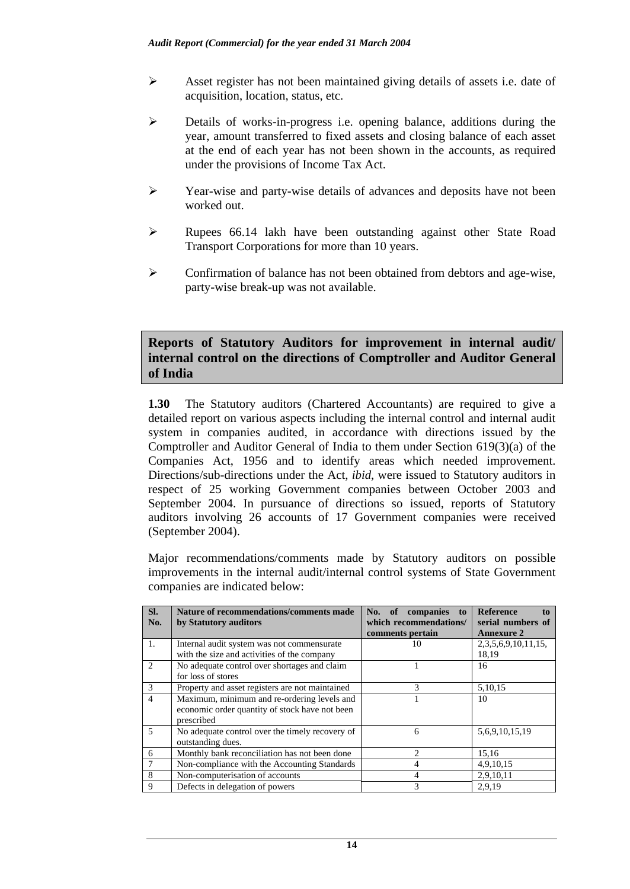- ¾ Asset register has not been maintained giving details of assets i.e. date of acquisition, location, status, etc.
- ¾ Details of works-in-progress i.e. opening balance, additions during the year, amount transferred to fixed assets and closing balance of each asset at the end of each year has not been shown in the accounts, as required under the provisions of Income Tax Act.
- ¾ Year-wise and party-wise details of advances and deposits have not been worked out.
- ¾ Rupees 66.14 lakh have been outstanding against other State Road Transport Corporations for more than 10 years.
- $\triangleright$  Confirmation of balance has not been obtained from debtors and age-wise, party-wise break-up was not available.

### **Reports of Statutory Auditors for improvement in internal audit/ internal control on the directions of Comptroller and Auditor General of India**

**1.30** The Statutory auditors (Chartered Accountants) are required to give a detailed report on various aspects including the internal control and internal audit system in companies audited, in accordance with directions issued by the Comptroller and Auditor General of India to them under Section 619(3)(a) of the Companies Act, 1956 and to identify areas which needed improvement. Directions/sub-directions under the Act, *ibid*, were issued to Statutory auditors in respect of 25 working Government companies between October 2003 and September 2004. In pursuance of directions so issued, reports of Statutory auditors involving 26 accounts of 17 Government companies were received (September 2004).

Major recommendations/comments made by Statutory auditors on possible improvements in the internal audit/internal control systems of State Government companies are indicated below:

| SI.            | Nature of recommendations/comments made         | No. of<br>companies<br>to | <b>Reference</b><br>to |
|----------------|-------------------------------------------------|---------------------------|------------------------|
| No.            | by Statutory auditors                           | which recommendations/    | serial numbers of      |
|                |                                                 | comments pertain          | <b>Annexure 2</b>      |
| 1.             | Internal audit system was not commensurate      | 10                        | 2,3,5,6,9,10,11,15,    |
|                | with the size and activities of the company     |                           | 18,19                  |
| 2              | No adequate control over shortages and claim    |                           | 16                     |
|                | for loss of stores                              |                           |                        |
| 3              | Property and asset registers are not maintained | 3                         | 5,10,15                |
| $\overline{4}$ | Maximum, minimum and re-ordering levels and     |                           | 10                     |
|                | economic order quantity of stock have not been  |                           |                        |
|                | prescribed                                      |                           |                        |
| $\overline{5}$ | No adequate control over the timely recovery of | 6                         | 5,6,9,10,15,19         |
|                | outstanding dues.                               |                           |                        |
| 6              | Monthly bank reconciliation has not been done   | $\mathfrak{D}$            | 15,16                  |
|                | Non-compliance with the Accounting Standards    | 4                         | 4,9,10,15              |
| 8              | Non-computerisation of accounts                 | 4                         | 2,9,10,11              |
| 9              | Defects in delegation of powers                 | 3                         | 2,9,19                 |